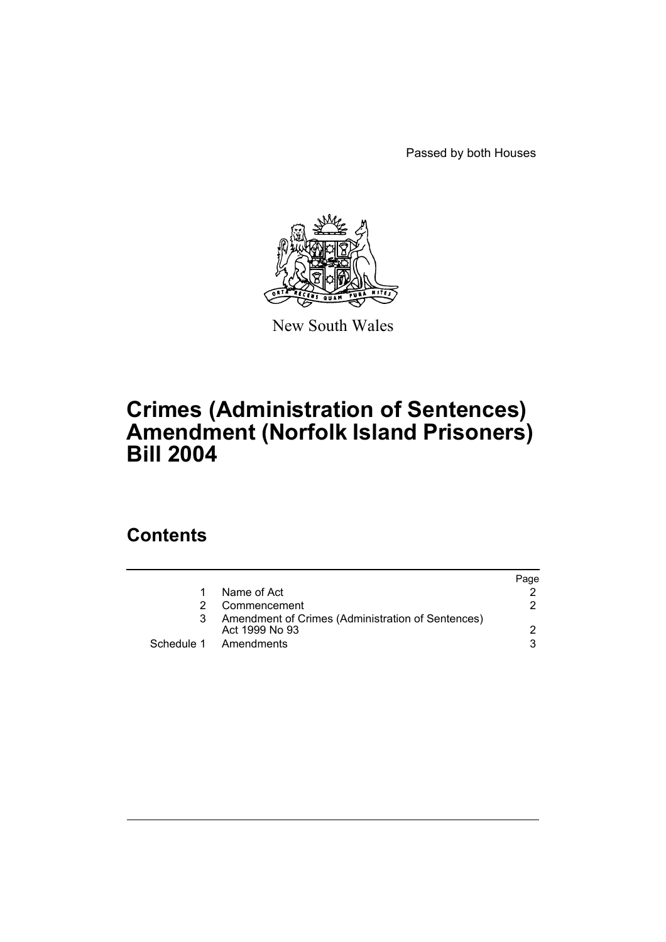Passed by both Houses



New South Wales

# **Crimes (Administration of Sentences) Amendment (Norfolk Island Prisoners) Bill 2004**

## **Contents**

|    |                                                                     | Page |
|----|---------------------------------------------------------------------|------|
| 1. | Name of Act                                                         |      |
|    | Commencement                                                        | 2    |
| 3  | Amendment of Crimes (Administration of Sentences)<br>Act 1999 No 93 |      |
|    | Schedule 1 Amendments                                               | 3.   |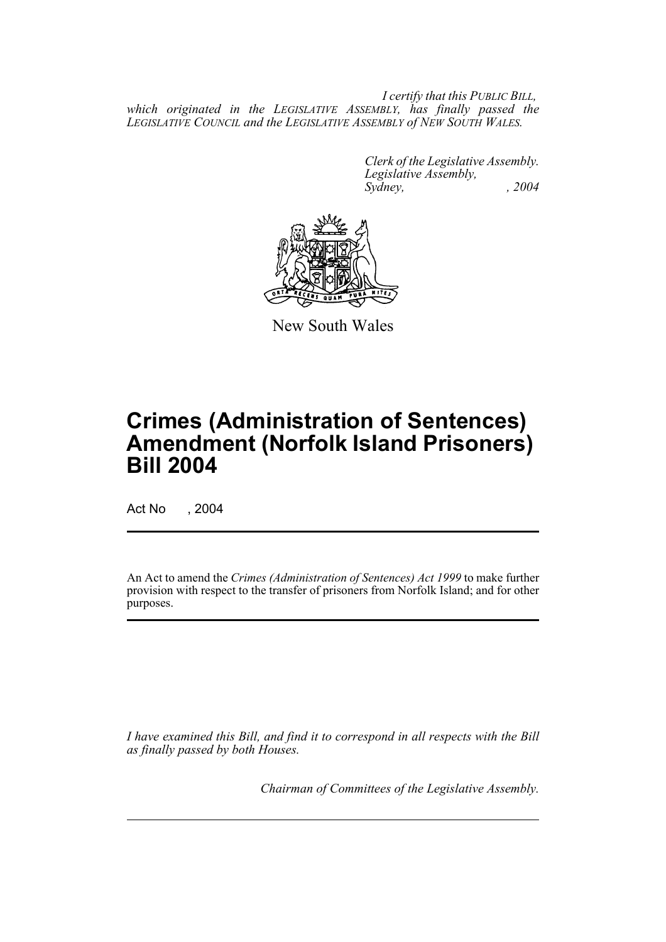*I certify that this PUBLIC BILL, which originated in the LEGISLATIVE ASSEMBLY, has finally passed the LEGISLATIVE COUNCIL and the LEGISLATIVE ASSEMBLY of NEW SOUTH WALES.*

> *Clerk of the Legislative Assembly. Legislative Assembly, Sydney, , 2004*



New South Wales

# **Crimes (Administration of Sentences) Amendment (Norfolk Island Prisoners) Bill 2004**

Act No , 2004

An Act to amend the *Crimes (Administration of Sentences) Act 1999* to make further provision with respect to the transfer of prisoners from Norfolk Island; and for other purposes.

*I have examined this Bill, and find it to correspond in all respects with the Bill as finally passed by both Houses.*

*Chairman of Committees of the Legislative Assembly.*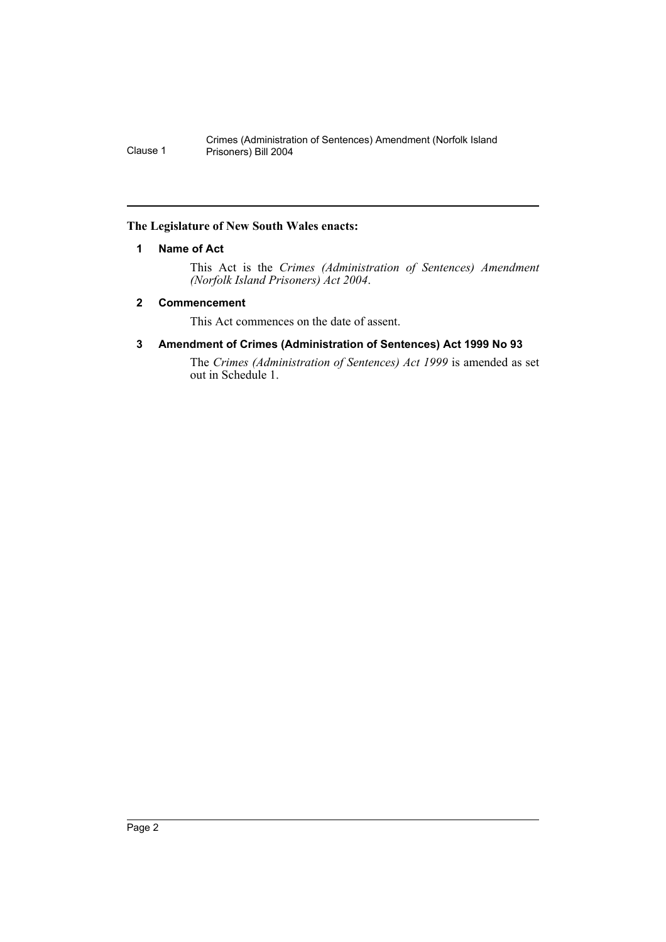## **The Legislature of New South Wales enacts:**

## **1 Name of Act**

This Act is the *Crimes (Administration of Sentences) Amendment (Norfolk Island Prisoners) Act 2004*.

## **2 Commencement**

This Act commences on the date of assent.

## **3 Amendment of Crimes (Administration of Sentences) Act 1999 No 93**

The *Crimes (Administration of Sentences) Act 1999* is amended as set out in Schedule 1.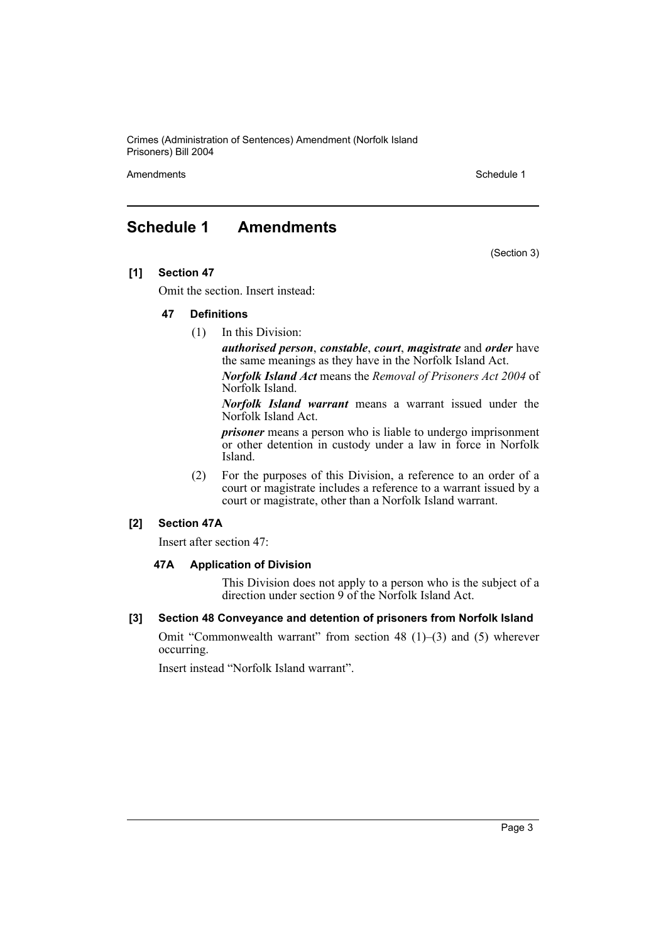Crimes (Administration of Sentences) Amendment (Norfolk Island Prisoners) Bill 2004

Amendments **Schedule 1** and the set of the set of the set of the set of the set of the set of the set of the set of the set of the set of the set of the set of the set of the set of the set of the set of the set of the set

(Section 3)

## **Schedule 1 Amendments**

**[1] Section 47**

Omit the section. Insert instead:

## **47 Definitions**

(1) In this Division:

*authorised person*, *constable*, *court*, *magistrate* and *order* have the same meanings as they have in the Norfolk Island Act.

*Norfolk Island Act* means the *Removal of Prisoners Act 2004* of Norfolk Island.

*Norfolk Island warrant* means a warrant issued under the Norfolk Island Act.

*prisoner* means a person who is liable to undergo imprisonment or other detention in custody under a law in force in Norfolk Island.

(2) For the purposes of this Division, a reference to an order of a court or magistrate includes a reference to a warrant issued by a court or magistrate, other than a Norfolk Island warrant.

## **[2] Section 47A**

Insert after section 47:

#### **47A Application of Division**

This Division does not apply to a person who is the subject of a direction under section 9 of the Norfolk Island Act.

#### **[3] Section 48 Conveyance and detention of prisoners from Norfolk Island**

Omit "Commonwealth warrant" from section 48 (1)–(3) and (5) wherever occurring.

Insert instead "Norfolk Island warrant".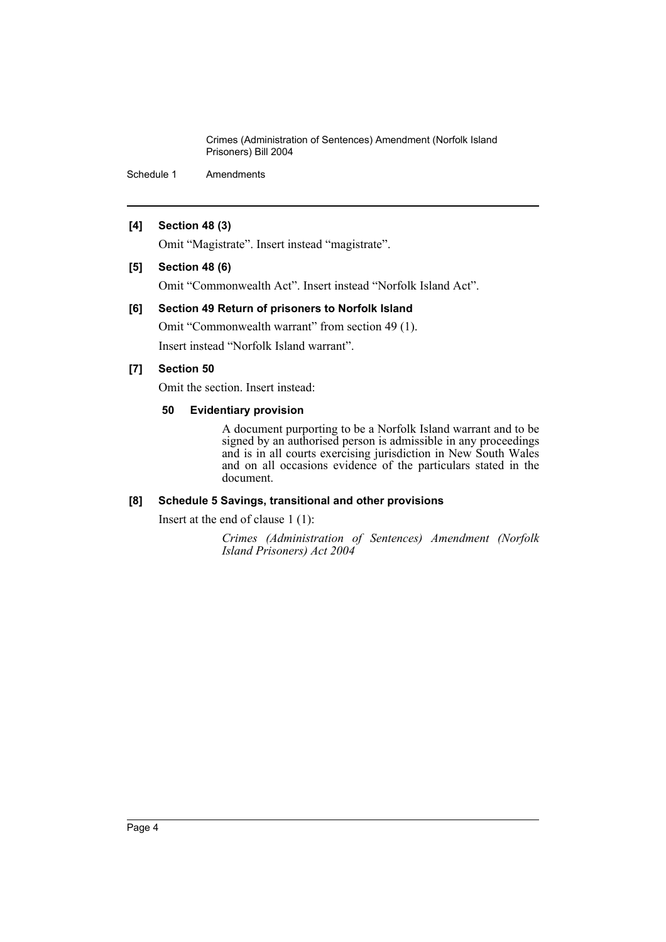Crimes (Administration of Sentences) Amendment (Norfolk Island Prisoners) Bill 2004

Schedule 1 Amendments

## **[4] Section 48 (3)**

Omit "Magistrate". Insert instead "magistrate".

## **[5] Section 48 (6)**

Omit "Commonwealth Act". Insert instead "Norfolk Island Act".

## **[6] Section 49 Return of prisoners to Norfolk Island**

Omit "Commonwealth warrant" from section 49 (1). Insert instead "Norfolk Island warrant".

## **[7] Section 50**

Omit the section. Insert instead:

## **50 Evidentiary provision**

A document purporting to be a Norfolk Island warrant and to be signed by an authorised person is admissible in any proceedings and is in all courts exercising jurisdiction in New South Wales and on all occasions evidence of the particulars stated in the document.

## **[8] Schedule 5 Savings, transitional and other provisions**

Insert at the end of clause 1 (1):

*Crimes (Administration of Sentences) Amendment (Norfolk Island Prisoners) Act 2004*